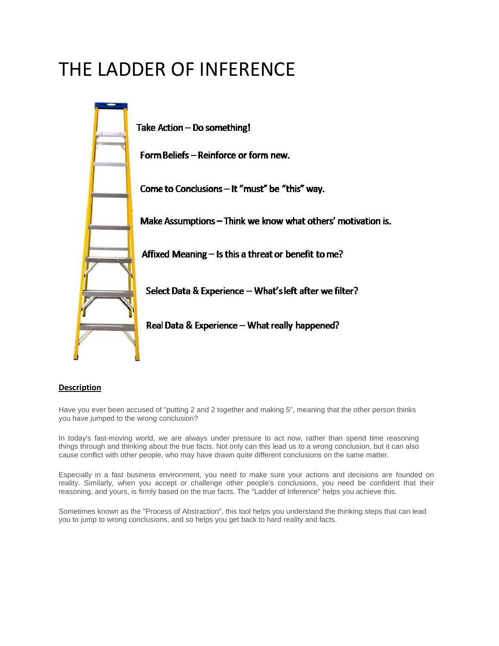# THE LADDER OF INFERENCE



# **Description**

Have you ever been accused of "putting 2 and 2 together and making 5", meaning that the other person thinks you have jumped to the wrong conclusion?

In today's fast-moving world, we are always under pressure to act now, rather than spend time reasoning things through and thinking about the true facts. Not only can this lead us to a wrong conclusion, but it can also cause conflict with other people, who may have drawn quite different conclusions on the same matter.

Especially in a fast business environment, you need to make sure your actions and decisions are founded on reality. Similarly, when you accept or challenge other people's conclusions, you need be confident that their reasoning, and yours, is firmly based on the true facts. The "Ladder of Inference" helps you achieve this.

Sometimes known as the "Process of Abstraction", this tool helps you understand the thinking steps that can lead you to jump to wrong conclusions, and so helps you get back to hard reality and facts.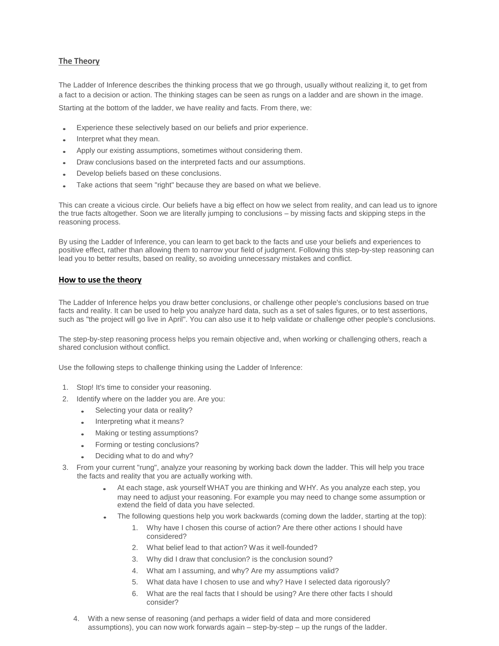# **The Theory**

The Ladder of Inference describes the thinking process that we go through, usually without realizing it, to get from a fact to a decision or action. The thinking stages can be seen as rungs on a ladder and are shown in the image.

Starting at the bottom of the ladder, we have reality and facts. From there, we:

- Experience these selectively based on our beliefs and prior experience.
- Interpret what they mean.
- Apply our existing assumptions, sometimes without considering them.
- Draw conclusions based on the interpreted facts and our assumptions.
- Develop beliefs based on these conclusions.
- Take actions that seem "right" because they are based on what we believe.

This can create a vicious circle. Our beliefs have a big effect on how we select from reality, and can lead us to ignore the true facts altogether. Soon we are literally jumping to conclusions – by missing facts and skipping steps in the reasoning process.

By using the Ladder of Inference, you can learn to get back to the facts and use your beliefs and experiences to positive effect, rather than allowing them to narrow your field of judgment. Following this step-by-step reasoning can lead you to better results, based on reality, so avoiding unnecessary mistakes and conflict.

#### **How to use the theory**

The Ladder of Inference helps you draw better conclusions, or challenge other people's conclusions based on true facts and reality. It can be used to help you analyze hard data, such as a set of sales figures, or to test assertions, such as "the project will go live in April". You can also use it to help validate or challenge other people's conclusions.

The step-by-step reasoning process helps you remain objective and, when working or challenging others, reach a shared conclusion without conflict.

Use the following steps to challenge thinking using the Ladder of Inference:

- 1. Stop! It's time to consider your reasoning.
- 2. Identify where on the ladder you are. Are you:
	- Selecting your data or reality?
	- Interpreting what it means?
	- Making or testing assumptions?
	- Forming or testing conclusions?
	- Deciding what to do and why?
- 3. From your current "rung", analyze your reasoning by working back down the ladder. This will help you trace the facts and reality that you are actually working with.
	- At each stage, ask yourself WHAT you are thinking and WHY. As you analyze each step, you may need to adjust your reasoning. For example you may need to change some assumption or extend the field of data you have selected.
	- The following questions help you work backwards (coming down the ladder, starting at the top):
		- 1. Why have I chosen this course of action? Are there other actions I should have considered?
		- 2. What belief lead to that action? Was it well-founded?
		- 3. Why did I draw that conclusion? is the conclusion sound?
		- 4. What am I assuming, and why? Are my assumptions valid?
		- 5. What data have I chosen to use and why? Have I selected data rigorously?
		- 6. What are the real facts that I should be using? Are there other facts I should consider?
	- 4. With a new sense of reasoning (and perhaps a wider field of data and more considered assumptions), you can now work forwards again – step-by-step – up the rungs of the ladder.